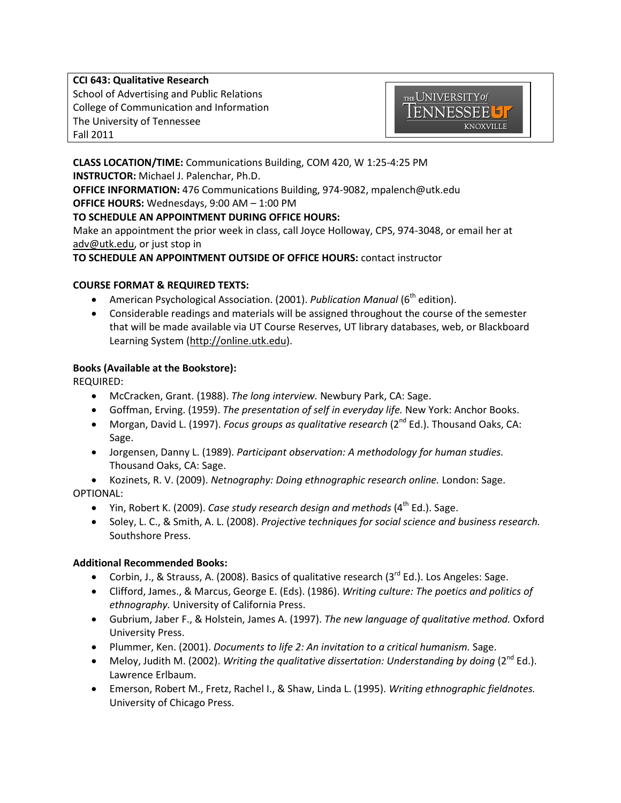**CCI 643: Qualitative Research** School of Advertising and Public Relations College of Communication and Information The University of Tennessee Fall 2011



**CLASS LOCATION/TIME:** Communications Building, COM 420, W 1:25-4:25 PM **INSTRUCTOR:** Michael J. Palenchar, Ph.D. **OFFICE INFORMATION:** 476 Communications Building, 974-9082, mpalench@utk.edu **OFFICE HOURS:** Wednesdays, 9:00 AM – 1:00 PM

## **TO SCHEDULE AN APPOINTMENT DURING OFFICE HOURS:**

Make an appointment the prior week in class, call Joyce Holloway, CPS, 974-3048, or email her at [adv@utk.edu,](mailto:adv@utk.edu) or just stop in

## **TO SCHEDULE AN APPOINTMENT OUTSIDE OF OFFICE HOURS:** contact instructor

## **COURSE FORMAT & REQUIRED TEXTS:**

- **•** American Psychological Association. (2001). *Publication Manual* (6<sup>th</sup> edition).
- Considerable readings and materials will be assigned throughout the course of the semester that will be made available via UT Course Reserves, UT library databases, web, or Blackboard Learning System [\(http://online.utk.edu\)](http://online.utk.edu/).

## **Books (Available at the Bookstore):**

REQUIRED:

- McCracken, Grant. (1988). *The long interview.* Newbury Park, CA: Sage.
- Goffman, Erving. (1959). *The presentation of self in everyday life.* New York: Anchor Books.
- Morgan, David L. (1997). *Focus groups as qualitative research* (2<sup>nd</sup> Ed.). Thousand Oaks, CA: Sage.
- Jorgensen, Danny L. (1989). *Participant observation: A methodology for human studies.*  Thousand Oaks, CA: Sage.
- Kozinets, R. V. (2009). *Netnography: Doing ethnographic research online.* London: Sage. OPTIONAL:
	- Yin, Robert K. (2009). *Case study research design and methods* (4<sup>th</sup> Ed.). Sage.
	- Soley, L. C., & Smith, A. L. (2008). *Projective techniques for social science and business research.*  Southshore Press.

#### **Additional Recommended Books:**

- Corbin, J., & Strauss, A. (2008). Basics of qualitative research ( $3<sup>rd</sup>$  Ed.). Los Angeles: Sage.
- Clifford, James., & Marcus, George E. (Eds). (1986). *Writing culture: The poetics and politics of ethnography.* University of California Press.
- Gubrium, Jaber F., & Holstein, James A. (1997). *The new language of qualitative method.* Oxford University Press.
- Plummer, Ken. (2001). *Documents to life 2: An invitation to a critical humanism.* Sage.
- Meloy, Judith M. (2002). *Writing the qualitative dissertation: Understanding by doing* (2<sup>nd</sup> Ed.). Lawrence Erlbaum.
- Emerson, Robert M., Fretz, Rachel I., & Shaw, Linda L. (1995). *Writing ethnographic fieldnotes.*  University of Chicago Press.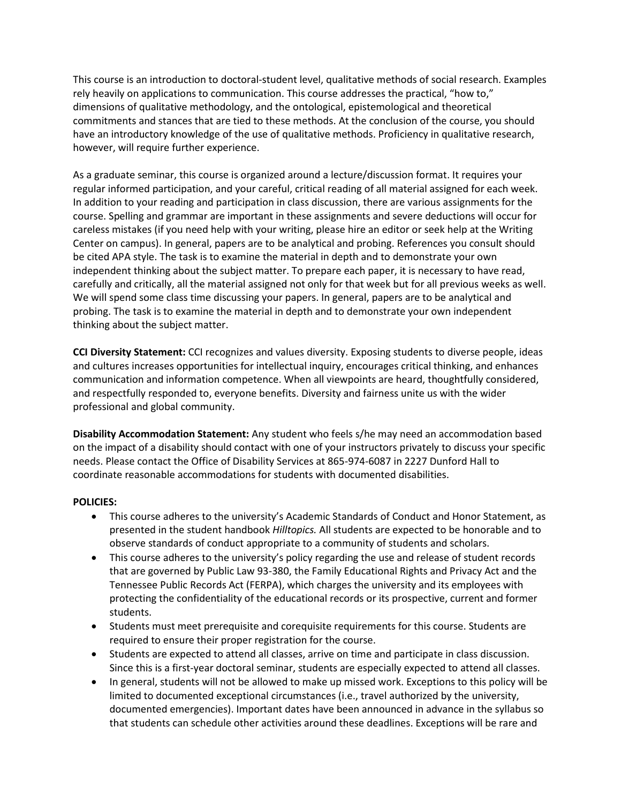This course is an introduction to doctoral-student level, qualitative methods of social research. Examples rely heavily on applications to communication. This course addresses the practical, "how to," dimensions of qualitative methodology, and the ontological, epistemological and theoretical commitments and stances that are tied to these methods. At the conclusion of the course, you should have an introductory knowledge of the use of qualitative methods. Proficiency in qualitative research, however, will require further experience.

As a graduate seminar, this course is organized around a lecture/discussion format. It requires your regular informed participation, and your careful, critical reading of all material assigned for each week. In addition to your reading and participation in class discussion, there are various assignments for the course. Spelling and grammar are important in these assignments and severe deductions will occur for careless mistakes (if you need help with your writing, please hire an editor or seek help at the Writing Center on campus). In general, papers are to be analytical and probing. References you consult should be cited APA style. The task is to examine the material in depth and to demonstrate your own independent thinking about the subject matter. To prepare each paper, it is necessary to have read, carefully and critically, all the material assigned not only for that week but for all previous weeks as well. We will spend some class time discussing your papers. In general, papers are to be analytical and probing. The task is to examine the material in depth and to demonstrate your own independent thinking about the subject matter.

**CCI Diversity Statement:** CCI recognizes and values diversity. Exposing students to diverse people, ideas and cultures increases opportunities for intellectual inquiry, encourages critical thinking, and enhances communication and information competence. When all viewpoints are heard, thoughtfully considered, and respectfully responded to, everyone benefits. Diversity and fairness unite us with the wider professional and global community.

**Disability Accommodation Statement:** Any student who feels s/he may need an accommodation based on the impact of a disability should contact with one of your instructors privately to discuss your specific needs. Please contact the Office of Disability Services at 865-974-6087 in 2227 Dunford Hall to coordinate reasonable accommodations for students with documented disabilities.

#### **POLICIES:**

- This course adheres to the university's Academic Standards of Conduct and Honor Statement, as presented in the student handbook *Hilltopics.* All students are expected to be honorable and to observe standards of conduct appropriate to a community of students and scholars.
- This course adheres to the university's policy regarding the use and release of student records that are governed by Public Law 93-380, the Family Educational Rights and Privacy Act and the Tennessee Public Records Act (FERPA), which charges the university and its employees with protecting the confidentiality of the educational records or its prospective, current and former students.
- Students must meet prerequisite and corequisite requirements for this course. Students are required to ensure their proper registration for the course.
- Students are expected to attend all classes, arrive on time and participate in class discussion. Since this is a first-year doctoral seminar, students are especially expected to attend all classes.
- In general, students will not be allowed to make up missed work. Exceptions to this policy will be limited to documented exceptional circumstances (i.e., travel authorized by the university, documented emergencies). Important dates have been announced in advance in the syllabus so that students can schedule other activities around these deadlines. Exceptions will be rare and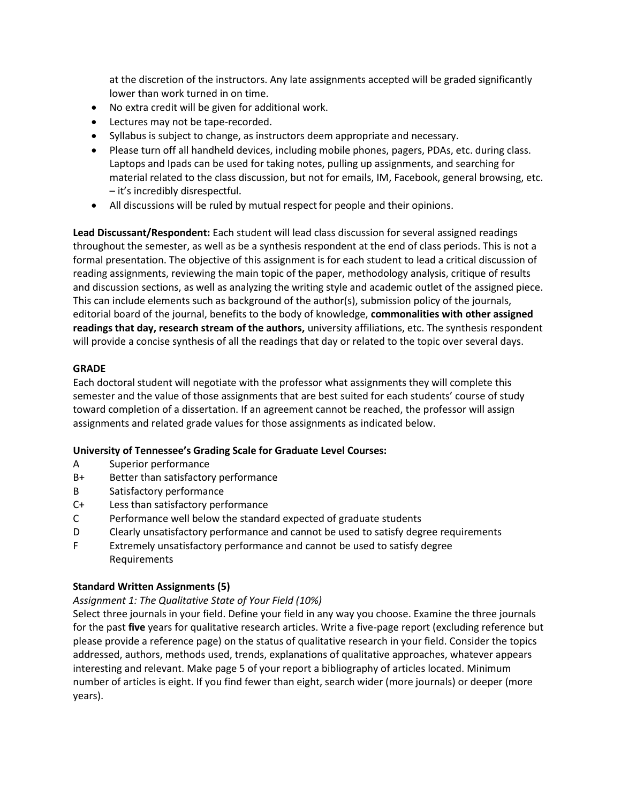at the discretion of the instructors. Any late assignments accepted will be graded significantly lower than work turned in on time.

- No extra credit will be given for additional work.
- Lectures may not be tape-recorded.
- Syllabus is subject to change, as instructors deem appropriate and necessary.
- Please turn off all handheld devices, including mobile phones, pagers, PDAs, etc. during class. Laptops and Ipads can be used for taking notes, pulling up assignments, and searching for material related to the class discussion, but not for emails, IM, Facebook, general browsing, etc. – it's incredibly disrespectful.
- All discussions will be ruled by mutual respect for people and their opinions.

**Lead Discussant/Respondent:** Each student will lead class discussion for several assigned readings throughout the semester, as well as be a synthesis respondent at the end of class periods. This is not a formal presentation. The objective of this assignment is for each student to lead a critical discussion of reading assignments, reviewing the main topic of the paper, methodology analysis, critique of results and discussion sections, as well as analyzing the writing style and academic outlet of the assigned piece. This can include elements such as background of the author(s), submission policy of the journals, editorial board of the journal, benefits to the body of knowledge, **commonalities with other assigned readings that day, research stream of the authors,** university affiliations, etc. The synthesis respondent will provide a concise synthesis of all the readings that day or related to the topic over several days.

## **GRADE**

Each doctoral student will negotiate with the professor what assignments they will complete this semester and the value of those assignments that are best suited for each students' course of study toward completion of a dissertation. If an agreement cannot be reached, the professor will assign assignments and related grade values for those assignments as indicated below.

#### **University of Tennessee's Grading Scale for Graduate Level Courses:**

- A Superior performance
- B+ Better than satisfactory performance
- B Satisfactory performance
- C+ Less than satisfactory performance
- C Performance well below the standard expected of graduate students
- D Clearly unsatisfactory performance and cannot be used to satisfy degree requirements
- F Extremely unsatisfactory performance and cannot be used to satisfy degree Requirements

#### **Standard Written Assignments (5)**

## *Assignment 1: The Qualitative State of Your Field (10%)*

Select three journals in your field. Define your field in any way you choose. Examine the three journals for the past **five** years for qualitative research articles. Write a five-page report (excluding reference but please provide a reference page) on the status of qualitative research in your field. Consider the topics addressed, authors, methods used, trends, explanations of qualitative approaches, whatever appears interesting and relevant. Make page 5 of your report a bibliography of articles located. Minimum number of articles is eight. If you find fewer than eight, search wider (more journals) or deeper (more years).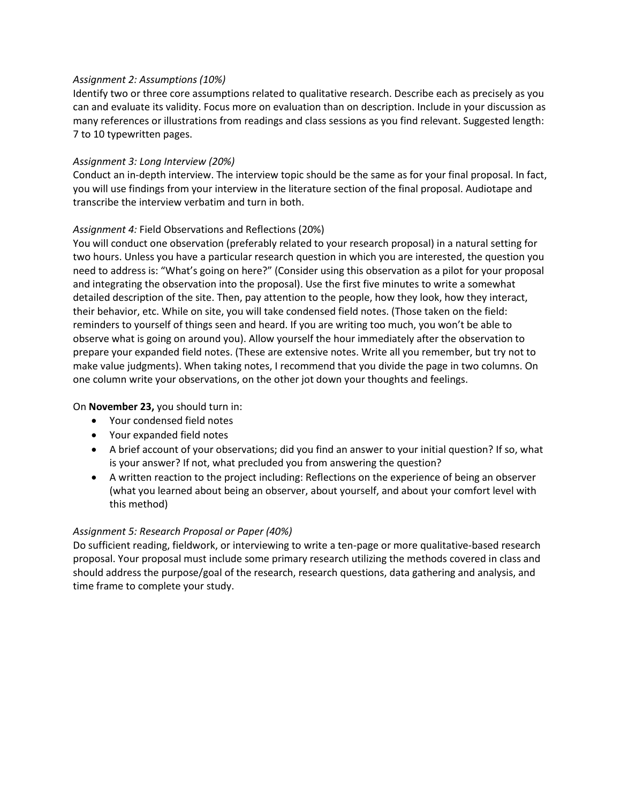#### *Assignment 2: Assumptions (10%)*

Identify two or three core assumptions related to qualitative research. Describe each as precisely as you can and evaluate its validity. Focus more on evaluation than on description. Include in your discussion as many references or illustrations from readings and class sessions as you find relevant. Suggested length: 7 to 10 typewritten pages.

## *Assignment 3: Long Interview (20%)*

Conduct an in-depth interview. The interview topic should be the same as for your final proposal. In fact, you will use findings from your interview in the literature section of the final proposal. Audiotape and transcribe the interview verbatim and turn in both.

## *Assignment 4:* Field Observations and Reflections (20%)

You will conduct one observation (preferably related to your research proposal) in a natural setting for two hours. Unless you have a particular research question in which you are interested, the question you need to address is: "What's going on here?" (Consider using this observation as a pilot for your proposal and integrating the observation into the proposal). Use the first five minutes to write a somewhat detailed description of the site. Then, pay attention to the people, how they look, how they interact, their behavior, etc. While on site, you will take condensed field notes. (Those taken on the field: reminders to yourself of things seen and heard. If you are writing too much, you won't be able to observe what is going on around you). Allow yourself the hour immediately after the observation to prepare your expanded field notes. (These are extensive notes. Write all you remember, but try not to make value judgments). When taking notes, I recommend that you divide the page in two columns. On one column write your observations, on the other jot down your thoughts and feelings.

## On **November 23,** you should turn in:

- Your condensed field notes
- Your expanded field notes
- A brief account of your observations; did you find an answer to your initial question? If so, what is your answer? If not, what precluded you from answering the question?
- A written reaction to the project including: Reflections on the experience of being an observer (what you learned about being an observer, about yourself, and about your comfort level with this method)

#### *Assignment 5: Research Proposal or Paper (40%)*

Do sufficient reading, fieldwork, or interviewing to write a ten-page or more qualitative-based research proposal. Your proposal must include some primary research utilizing the methods covered in class and should address the purpose/goal of the research, research questions, data gathering and analysis, and time frame to complete your study.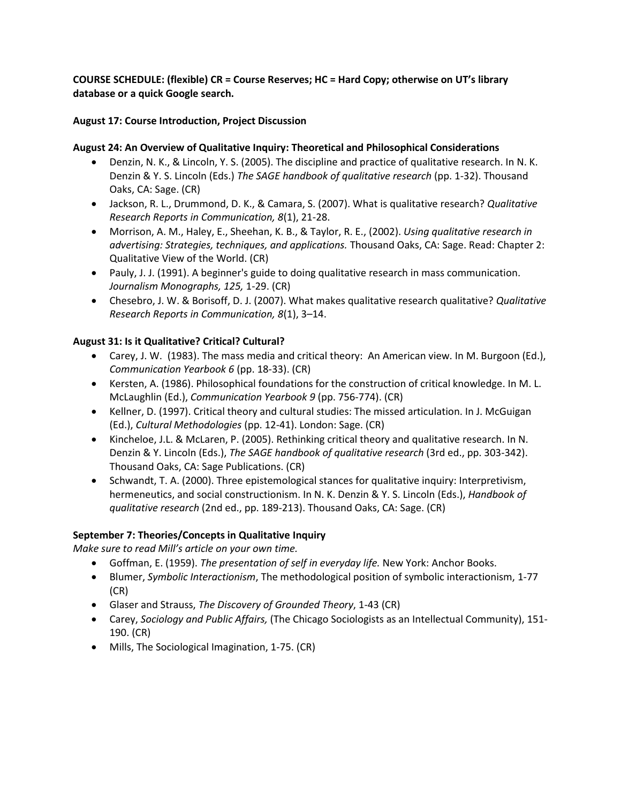**COURSE SCHEDULE: (flexible) CR = Course Reserves; HC = Hard Copy; otherwise on UT's library database or a quick Google search.** 

## **August 17: Course Introduction, Project Discussion**

## **August 24: An Overview of Qualitative Inquiry: Theoretical and Philosophical Considerations**

- Denzin, N. K., & Lincoln, Y. S. (2005). The discipline and practice of qualitative research. In N. K. Denzin & Y. S. Lincoln (Eds.) *The SAGE handbook of qualitative research* (pp. 1-32). Thousand Oaks, CA: Sage. (CR)
- Jackson, R. L., Drummond, D. K., & Camara, S. (2007). What is qualitative research? *Qualitative Research Reports in Communication, 8*(1), 21-28.
- Morrison, A. M., Haley, E., Sheehan, K. B., & Taylor, R. E., (2002). *Using qualitative research in advertising: Strategies, techniques, and applications.* Thousand Oaks, CA: Sage. Read: Chapter 2: Qualitative View of the World. (CR)
- Pauly, J. J. (1991). A beginner's guide to doing qualitative research in mass communication. *Journalism Monographs, 125,* 1-29. (CR)
- Chesebro, J. W. & Borisoff, D. J. (2007). What makes qualitative research qualitative? *Qualitative Research Reports in Communication, 8*(1), 3–14.

## **August 31: Is it Qualitative? Critical? Cultural?**

- Carey, J. W. (1983). The mass media and critical theory: An American view. In M. Burgoon (Ed.), *Communication Yearbook 6* (pp. 18-33). (CR)
- Kersten, A. (1986). Philosophical foundations for the construction of critical knowledge. In M. L. McLaughlin (Ed.), *Communication Yearbook 9* (pp. 756-774). (CR)
- Kellner, D. (1997). Critical theory and cultural studies: The missed articulation. In J. McGuigan (Ed.), *Cultural Methodologies* (pp. 12-41). London: Sage. (CR)
- Kincheloe, J.L. & McLaren, P. (2005). Rethinking critical theory and qualitative research. In N. Denzin & Y. Lincoln (Eds.), *The SAGE handbook of qualitative research* (3rd ed., pp. 303-342). Thousand Oaks, CA: Sage Publications. (CR)
- Schwandt, T. A. (2000). Three epistemological stances for qualitative inquiry: Interpretivism, hermeneutics, and social constructionism. In N. K. Denzin & Y. S. Lincoln (Eds.), *Handbook of qualitative research* (2nd ed., pp. 189-213). Thousand Oaks, CA: Sage. (CR)

#### **September 7: Theories/Concepts in Qualitative Inquiry**

*Make sure to read Mill's article on your own time.*

- Goffman, E. (1959). *The presentation of self in everyday life.* New York: Anchor Books.
- Blumer, *Symbolic Interactionism*, The methodological position of symbolic interactionism, 1-77 (CR)
- Glaser and Strauss, *The Discovery of Grounded Theory*, 1-43 (CR)
- Carey, *Sociology and Public Affairs,* (The Chicago Sociologists as an Intellectual Community), 151- 190. (CR)
- Mills, The Sociological Imagination, 1-75. (CR)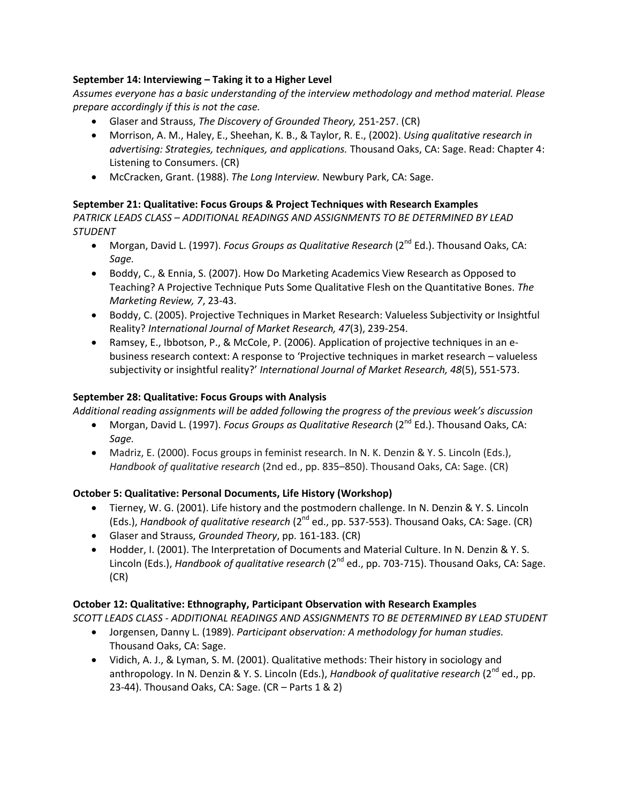## **September 14: Interviewing – Taking it to a Higher Level**

*Assumes everyone has a basic understanding of the interview methodology and method material. Please prepare accordingly if this is not the case.*

- Glaser and Strauss, *The Discovery of Grounded Theory,* 251-257. (CR)
- Morrison, A. M., Haley, E., Sheehan, K. B., & Taylor, R. E., (2002). *Using qualitative research in advertising: Strategies, techniques, and applications.* Thousand Oaks, CA: Sage. Read: Chapter 4: Listening to Consumers. (CR)
- McCracken, Grant. (1988). *The Long Interview.* Newbury Park, CA: Sage.

## **September 21: Qualitative: Focus Groups & Project Techniques with Research Examples**

*PATRICK LEADS CLASS – ADDITIONAL READINGS AND ASSIGNMENTS TO BE DETERMINED BY LEAD STUDENT*

- Morgan, David L. (1997). *Focus Groups as Qualitative Research* (2<sup>nd</sup> Ed.). Thousand Oaks, CA: *Sage.*
- Boddy, C., & Ennia, S. (2007). How Do Marketing Academics View Research as Opposed to Teaching? A Projective Technique Puts Some Qualitative Flesh on the Quantitative Bones. *The Marketing Review, 7*, 23-43.
- Boddy, C. (2005). Projective Techniques in Market Research: Valueless Subjectivity or Insightful Reality? *International Journal of Market Research, 47*(3), 239-254.
- Ramsey, E., Ibbotson, P., & McCole, P. (2006). Application of projective techniques in an ebusiness research context: A response to 'Projective techniques in market research – valueless subjectivity or insightful reality?' *International Journal of Market Research, 48*(5), 551-573.

## **September 28: Qualitative: Focus Groups with Analysis**

*Additional reading assignments will be added following the progress of the previous week's discussion*

- Morgan, David L. (1997). *Focus Groups as Qualitative Research* (2<sup>nd</sup> Ed.). Thousand Oaks, CA: *Sage.*
- Madriz, E. (2000). Focus groups in feminist research. In N. K. Denzin & Y. S. Lincoln (Eds.), *Handbook of qualitative research* (2nd ed., pp. 835–850). Thousand Oaks, CA: Sage. (CR)

## **October 5: Qualitative: Personal Documents, Life History (Workshop)**

- Tierney, W. G. (2001). Life history and the postmodern challenge. In N. Denzin & Y. S. Lincoln (Eds.), *Handbook of qualitative research* (2nd ed., pp. 537-553). Thousand Oaks, CA: Sage. (CR)
- Glaser and Strauss, *Grounded Theory*, pp. 161-183. (CR)
- Hodder, I. (2001). The Interpretation of Documents and Material Culture. In N. Denzin & Y. S. Lincoln (Eds.), *Handbook of qualitative research* (2<sup>nd</sup> ed., pp. 703-715). Thousand Oaks, CA: Sage. (CR)

## **October 12: Qualitative: Ethnography, Participant Observation with Research Examples**

*SCOTT LEADS CLASS - ADDITIONAL READINGS AND ASSIGNMENTS TO BE DETERMINED BY LEAD STUDENT*

- Jorgensen, Danny L. (1989). *Participant observation: A methodology for human studies.*  Thousand Oaks, CA: Sage.
- Vidich, A. J., & Lyman, S. M. (2001). Qualitative methods: Their history in sociology and anthropology. In N. Denzin & Y. S. Lincoln (Eds.), *Handbook of qualitative research* (2<sup>nd</sup> ed., pp. 23-44). Thousand Oaks, CA: Sage. (CR – Parts 1 & 2)